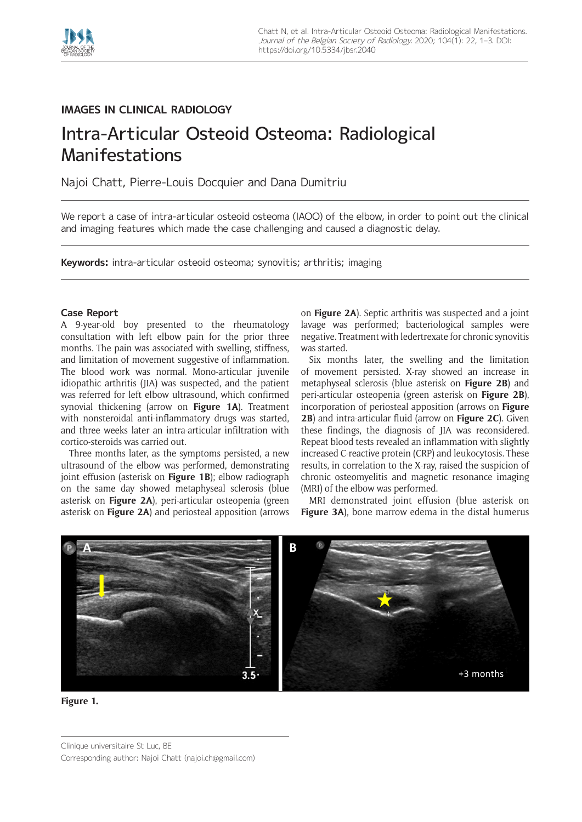

## **IMAGES IN CLINICAL RADIOLOGY**

# Intra-Articular Osteoid Osteoma: Radiological Manifestations

Najoi Chatt, Pierre-Louis Docquier and Dana Dumitriu

We report a case of intra-articular osteoid osteoma (IAOO) of the elbow, in order to point out the clinical and imaging features which made the case challenging and caused a diagnostic delay.

**Keywords:** intra-articular osteoid osteoma; synovitis; arthritis; imaging

#### **Case Report**

A 9-year-old boy presented to the rheumatology consultation with left elbow pain for the prior three months. The pain was associated with swelling, stiffness, and limitation of movement suggestive of inflammation. The blood work was normal. Mono-articular juvenile idiopathic arthritis (JIA) was suspected, and the patient was referred for left elbow ultrasound, which confirmed synovial thickening (arrow on **Figure 1A**). Treatment with nonsteroidal anti-inflammatory drugs was started, and three weeks later an intra-articular infiltration with cortico-steroids was carried out.

Three months later, as the symptoms persisted, a new ultrasound of the elbow was performed, demonstrating joint effusion (asterisk on **Figure 1B**); elbow radiograph on the same day showed metaphyseal sclerosis (blue asterisk on **Figure 2A**), peri-articular osteopenia (green asterisk on **Figure 2A**) and periosteal apposition (arrows on **Figure 2A**). Septic arthritis was suspected and a joint lavage was performed; bacteriological samples were negative. Treatment with ledertrexate for chronic synovitis was started.

Six months later, the swelling and the limitation of movement persisted. X-ray showed an increase in metaphyseal sclerosis (blue asterisk on **Figure 2B**) and peri-articular osteopenia (green asterisk on **Figure 2B**), incorporation of periosteal apposition (arrows on **Figure 2B**) and intra-articular fluid (arrow on **Figure 2C**). Given these findings, the diagnosis of JIA was reconsidered. Repeat blood tests revealed an inflammation with slightly increased C-reactive protein (CRP) and leukocytosis. These results, in correlation to the X-ray, raised the suspicion of chronic osteomyelitis and magnetic resonance imaging (MRI) of the elbow was performed.

MRI demonstrated joint effusion (blue asterisk on **Figure 3A**), bone marrow edema in the distal humerus





Clinique universitaire St Luc, BE Corresponding author: Najoi Chatt [\(najoi.ch@gmail.com](mailto:najoi.ch@gmail.com))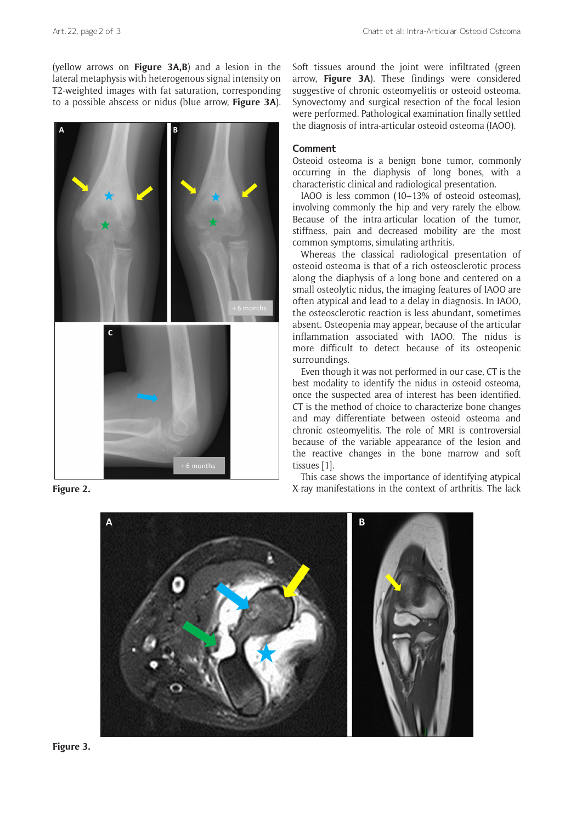(yellow arrows on **Figure 3A,B**) and a lesion in the lateral metaphysis with heterogenous signal intensity on T2-weighted images with fat saturation, corresponding to a possible abscess or nidus (blue arrow, **Figure 3A**).



Soft tissues around the joint were infiltrated (green arrow, **Figure 3A**). These findings were considered suggestive of chronic osteomyelitis or osteoid osteoma. Synovectomy and surgical resection of the focal lesion were performed. Pathological examination finally settled the diagnosis of intra-articular osteoid osteoma (IAOO).

#### **Comment**

Osteoid osteoma is a benign bone tumor, commonly occurring in the diaphysis of long bones, with a characteristic clinical and radiological presentation.

IAOO is less common (10–13% of osteoid osteomas), involving commonly the hip and very rarely the elbow. Because of the intra-articular location of the tumor, stiffness, pain and decreased mobility are the most common symptoms, simulating arthritis.

Whereas the classical radiological presentation of osteoid osteoma is that of a rich osteosclerotic process along the diaphysis of a long bone and centered on a small osteolytic nidus, the imaging features of IAOO are often atypical and lead to a delay in diagnosis. In IAOO, the osteosclerotic reaction is less abundant, sometimes absent. Osteopenia may appear, because of the articular inflammation associated with IAOO. The nidus is more difficult to detect because of its osteopenic surroundings.

Even though it was not performed in our case, CT is the best modality to identify the nidus in osteoid osteoma, once the suspected area of interest has been identified. CT is the method of choice to characterize bone changes and may differentiate between osteoid osteoma and chronic osteomyelitis. The role of MRI is controversial because of the variable appearance of the lesion and the reactive changes in the bone marrow and soft tissues [1].

This case shows the importance of identifying atypical **Figure 2.** The lack manifestations in the context of arthritis. The lack